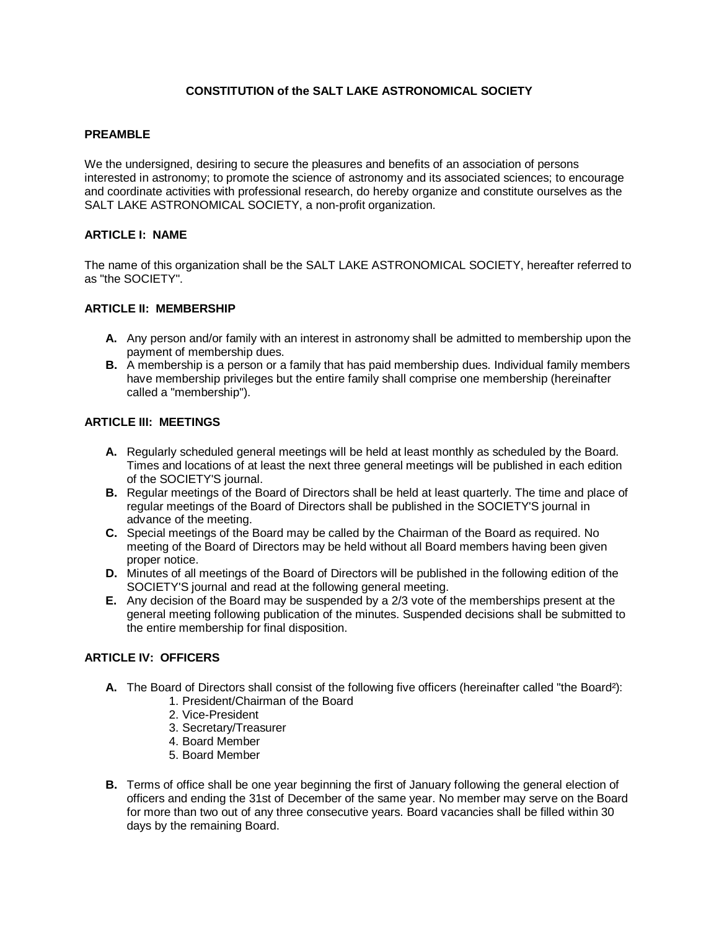# **CONSTITUTION of the SALT LAKE ASTRONOMICAL SOCIETY**

### **PREAMBLE**

We the undersigned, desiring to secure the pleasures and benefits of an association of persons interested in astronomy; to promote the science of astronomy and its associated sciences; to encourage and coordinate activities with professional research, do hereby organize and constitute ourselves as the SALT LAKE ASTRONOMICAL SOCIETY, a non-profit organization.

# **ARTICLE I: NAME**

The name of this organization shall be the SALT LAKE ASTRONOMICAL SOCIETY, hereafter referred to as "the SOCIETY".

#### **ARTICLE II: MEMBERSHIP**

- **A.** Any person and/or family with an interest in astronomy shall be admitted to membership upon the payment of membership dues.
- **B.** A membership is a person or a family that has paid membership dues. Individual family members have membership privileges but the entire family shall comprise one membership (hereinafter called a "membership").

### **ARTICLE III: MEETINGS**

- **A.** Regularly scheduled general meetings will be held at least monthly as scheduled by the Board. Times and locations of at least the next three general meetings will be published in each edition of the SOCIETY'S journal.
- **B.** Regular meetings of the Board of Directors shall be held at least quarterly. The time and place of regular meetings of the Board of Directors shall be published in the SOCIETY'S journal in advance of the meeting.
- **C.** Special meetings of the Board may be called by the Chairman of the Board as required. No meeting of the Board of Directors may be held without all Board members having been given proper notice.
- **D.** Minutes of all meetings of the Board of Directors will be published in the following edition of the SOCIETY'S journal and read at the following general meeting.
- **E.** Any decision of the Board may be suspended by a 2/3 vote of the memberships present at the general meeting following publication of the minutes. Suspended decisions shall be submitted to the entire membership for final disposition.

# **ARTICLE IV: OFFICERS**

- **A.** The Board of Directors shall consist of the following five officers (hereinafter called "the Board²):
	- 1. President/Chairman of the Board
	- 2. Vice-President
	- 3. Secretary/Treasurer
	- 4. Board Member
	- 5. Board Member
- **B.** Terms of office shall be one year beginning the first of January following the general election of officers and ending the 31st of December of the same year. No member may serve on the Board for more than two out of any three consecutive years. Board vacancies shall be filled within 30 days by the remaining Board.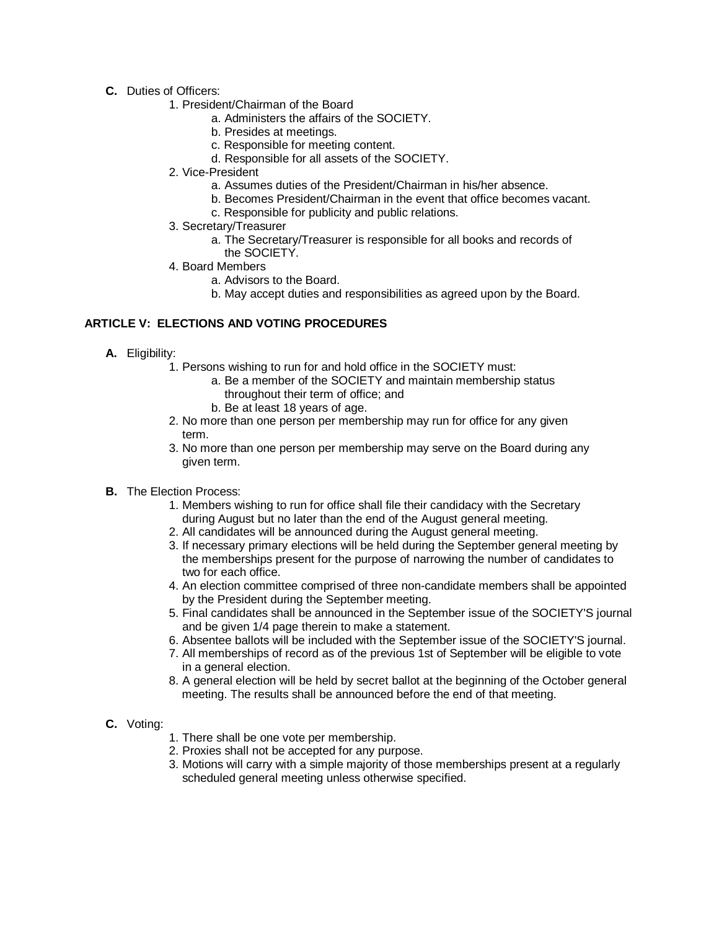- **C.** Duties of Officers:
	- 1. President/Chairman of the Board
		- a. Administers the affairs of the SOCIETY.
		- b. Presides at meetings.
		- c. Responsible for meeting content.
		- d. Responsible for all assets of the SOCIETY.
	- 2. Vice-President
		- a. Assumes duties of the President/Chairman in his/her absence.
		- b. Becomes President/Chairman in the event that office becomes vacant.
		- c. Responsible for publicity and public relations.
	- 3. Secretary/Treasurer
		- a. The Secretary/Treasurer is responsible for all books and records of the SOCIETY.
	- 4. Board Members
		- a. Advisors to the Board.
		- b. May accept duties and responsibilities as agreed upon by the Board.

# **ARTICLE V: ELECTIONS AND VOTING PROCEDURES**

- **A.** Eligibility:
	- 1. Persons wishing to run for and hold office in the SOCIETY must:
		- a. Be a member of the SOCIETY and maintain membership status throughout their term of office; and
			- b. Be at least 18 years of age.
	- 2. No more than one person per membership may run for office for any given term.
	- 3. No more than one person per membership may serve on the Board during any given term.
- **B.** The Election Process:
	- 1. Members wishing to run for office shall file their candidacy with the Secretary during August but no later than the end of the August general meeting.
	- 2. All candidates will be announced during the August general meeting.
	- 3. If necessary primary elections will be held during the September general meeting by the memberships present for the purpose of narrowing the number of candidates to two for each office.
	- 4. An election committee comprised of three non-candidate members shall be appointed by the President during the September meeting.
	- 5. Final candidates shall be announced in the September issue of the SOCIETY'S journal and be given 1/4 page therein to make a statement.
	- 6. Absentee ballots will be included with the September issue of the SOCIETY'S journal.
	- 7. All memberships of record as of the previous 1st of September will be eligible to vote in a general election.
	- 8. A general election will be held by secret ballot at the beginning of the October general meeting. The results shall be announced before the end of that meeting.

### **C.** Voting:

- 1. There shall be one vote per membership.
- 2. Proxies shall not be accepted for any purpose.
- 3. Motions will carry with a simple majority of those memberships present at a regularly scheduled general meeting unless otherwise specified.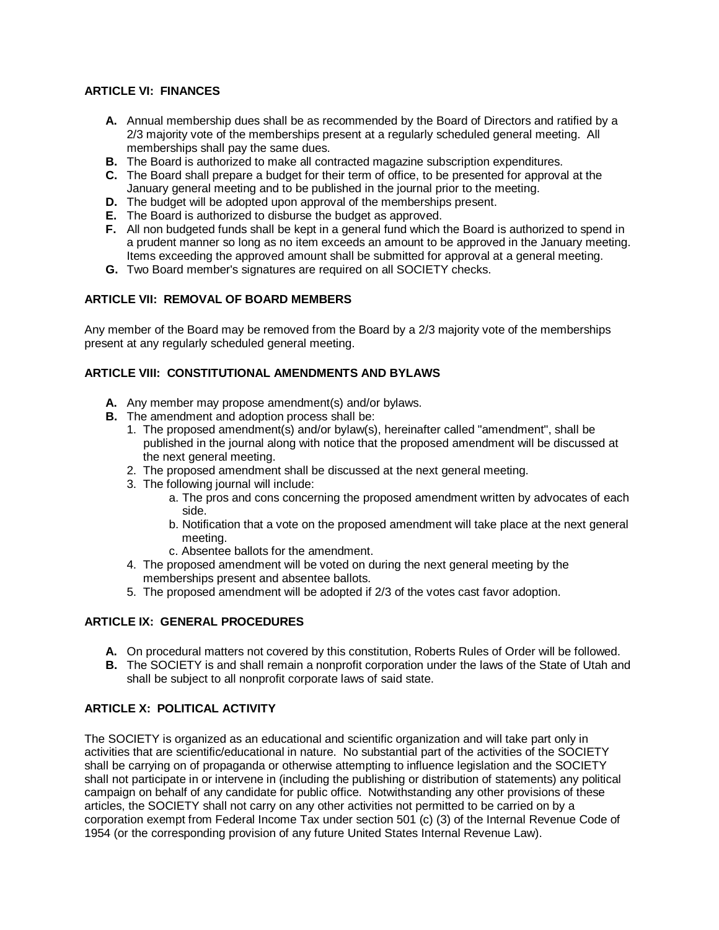# **ARTICLE VI: FINANCES**

- **A.** Annual membership dues shall be as recommended by the Board of Directors and ratified by a 2/3 majority vote of the memberships present at a regularly scheduled general meeting. All memberships shall pay the same dues.
- **B.** The Board is authorized to make all contracted magazine subscription expenditures.
- **C.** The Board shall prepare a budget for their term of office, to be presented for approval at the January general meeting and to be published in the journal prior to the meeting.
- **D.** The budget will be adopted upon approval of the memberships present.
- **E.** The Board is authorized to disburse the budget as approved.
- **F.** All non budgeted funds shall be kept in a general fund which the Board is authorized to spend in a prudent manner so long as no item exceeds an amount to be approved in the January meeting. Items exceeding the approved amount shall be submitted for approval at a general meeting.
- **G.** Two Board member's signatures are required on all SOCIETY checks.

# **ARTICLE VII: REMOVAL OF BOARD MEMBERS**

Any member of the Board may be removed from the Board by a 2/3 majority vote of the memberships present at any regularly scheduled general meeting.

### **ARTICLE VIII: CONSTITUTIONAL AMENDMENTS AND BYLAWS**

- **A.** Any member may propose amendment(s) and/or bylaws.
- **B.** The amendment and adoption process shall be:
	- 1. The proposed amendment(s) and/or bylaw(s), hereinafter called "amendment", shall be published in the journal along with notice that the proposed amendment will be discussed at the next general meeting.
	- 2. The proposed amendment shall be discussed at the next general meeting.
	- 3. The following journal will include:
		- a. The pros and cons concerning the proposed amendment written by advocates of each side.
		- b. Notification that a vote on the proposed amendment will take place at the next general meeting.
		- c. Absentee ballots for the amendment.
	- 4. The proposed amendment will be voted on during the next general meeting by the memberships present and absentee ballots.
	- 5. The proposed amendment will be adopted if 2/3 of the votes cast favor adoption.

# **ARTICLE IX: GENERAL PROCEDURES**

- **A.** On procedural matters not covered by this constitution, Roberts Rules of Order will be followed.
- **B.** The SOCIETY is and shall remain a nonprofit corporation under the laws of the State of Utah and shall be subject to all nonprofit corporate laws of said state.

# **ARTICLE X: POLITICAL ACTIVITY**

The SOCIETY is organized as an educational and scientific organization and will take part only in activities that are scientific/educational in nature. No substantial part of the activities of the SOCIETY shall be carrying on of propaganda or otherwise attempting to influence legislation and the SOCIETY shall not participate in or intervene in (including the publishing or distribution of statements) any political campaign on behalf of any candidate for public office. Notwithstanding any other provisions of these articles, the SOCIETY shall not carry on any other activities not permitted to be carried on by a corporation exempt from Federal Income Tax under section 501 (c) (3) of the Internal Revenue Code of 1954 (or the corresponding provision of any future United States Internal Revenue Law).